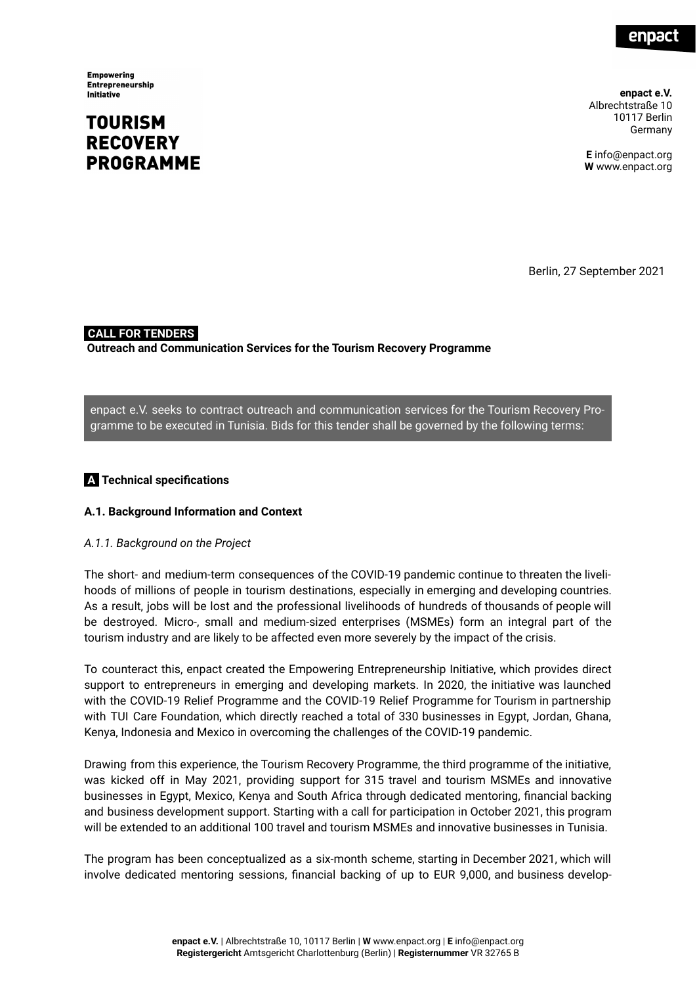**Empowering** Entrepreneurship Initiative

## **TOURISM RECOVERY PROGRAMME**

**enpact e.V.** Albrechtstraße 10 10117 Berlin Germany

**E** [info@enpact.org](mailto:info@enpact.org) **W** www.enpact.org

Berlin, 27 September 2021

## **.CALL FOR TENDERS.**

**Outreach and Communication Services for the Tourism Recovery Programme**

enpact e.V. seeks to contract outreach and communication services for the Tourism Recovery Programme to be executed in Tunisia. Bids for this tender shall be governed by the following terms:

## **.A. Technical specifications**

## **A.1. Background Information and Context**

#### *A.1.1. Background on the Project*

The short- and medium-term consequences of the COVID-19 pandemic continue to threaten the livelihoods of millions of people in tourism destinations, especially in emerging and developing countries. As a result, jobs will be lost and the professional livelihoods of hundreds of thousands of people will be destroyed. Micro-, small and medium-sized enterprises (MSMEs) form an integral part of the tourism industry and are likely to be affected even more severely by the impact of the crisis.

To counteract this, enpact created the Empowering Entrepreneurship Initiative, which provides direct support to entrepreneurs in emerging and developing markets. In 2020, the initiative was launched with the COVID-19 Relief Programme and the COVID-19 Relief Programme for Tourism in partnership with TUI Care Foundation, which directly reached a total of 330 businesses in Egypt, Jordan, Ghana, Kenya, Indonesia and Mexico in overcoming the challenges of the COVID-19 pandemic.

Drawing from this experience, the Tourism Recovery Programme, the third programme of the initiative, was kicked off in May 2021, providing support for 315 travel and tourism MSMEs and innovative businesses in Egypt, Mexico, Kenya and South Africa through dedicated mentoring, financial backing and business development support. Starting with a call for participation in October 2021, this program will be extended to an additional 100 travel and tourism MSMEs and innovative businesses in Tunisia.

The program has been conceptualized as a six-month scheme, starting in December 2021, which will involve dedicated mentoring sessions, financial backing of up to EUR 9,000, and business develop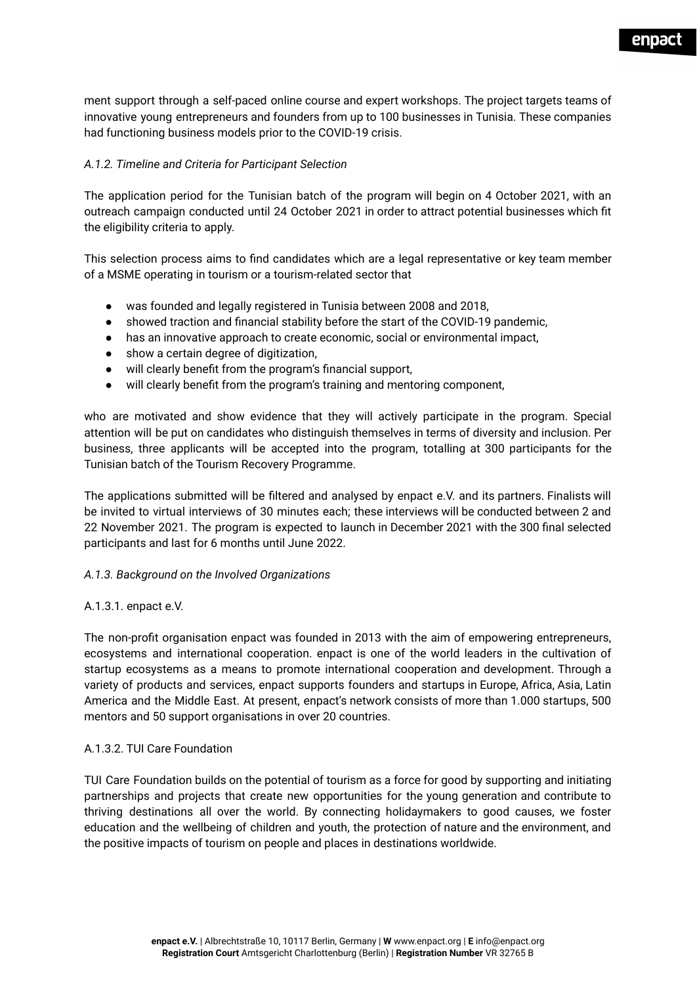ment support through a self-paced online course and expert workshops. The project targets teams of innovative young entrepreneurs and founders from up to 100 businesses in Tunisia. These companies had functioning business models prior to the COVID-19 crisis.

## *A.1.2. Timeline and Criteria for Participant Selection*

The application period for the Tunisian batch of the program will begin on 4 October 2021, with an outreach campaign conducted until 24 October 2021 in order to attract potential businesses which fit the eligibility criteria to apply.

This selection process aims to find candidates which are a legal representative or key team member of a MSME operating in tourism or a tourism-related sector that

- was founded and legally registered in Tunisia between 2008 and 2018,
- showed traction and financial stability before the start of the COVID-19 pandemic,
- has an innovative approach to create economic, social or environmental impact,
- show a certain degree of digitization,
- will clearly benefit from the program's financial support,
- will clearly benefit from the program's training and mentoring component,

who are motivated and show evidence that they will actively participate in the program. Special attention will be put on candidates who distinguish themselves in terms of diversity and inclusion. Per business, three applicants will be accepted into the program, totalling at 300 participants for the Tunisian batch of the Tourism Recovery Programme.

The applications submitted will be filtered and analysed by enpact e.V. and its partners. Finalists will be invited to virtual interviews of 30 minutes each; these interviews will be conducted between 2 and 22 November 2021. The program is expected to launch in December 2021 with the 300 final selected participants and last for 6 months until June 2022.

## *A.1.3. Background on the Involved Organizations*

## A.1.3.1. enpact e.V.

The non-profit organisation enpact was founded in 2013 with the aim of empowering entrepreneurs, ecosystems and international cooperation. enpact is one of the world leaders in the cultivation of startup ecosystems as a means to promote international cooperation and development. Through a variety of products and services, enpact supports founders and startups in Europe, Africa, Asia, Latin America and the Middle East. At present, enpact's network consists of more than 1.000 startups, 500 mentors and 50 support organisations in over 20 countries.

## A.1.3.2. TUI Care Foundation

TUI Care Foundation builds on the potential of tourism as a force for good by supporting and initiating partnerships and projects that create new opportunities for the young generation and contribute to thriving destinations all over the world. By connecting holidaymakers to good causes, we foster education and the wellbeing of children and youth, the protection of nature and the environment, and the positive impacts of tourism on people and places in destinations worldwide.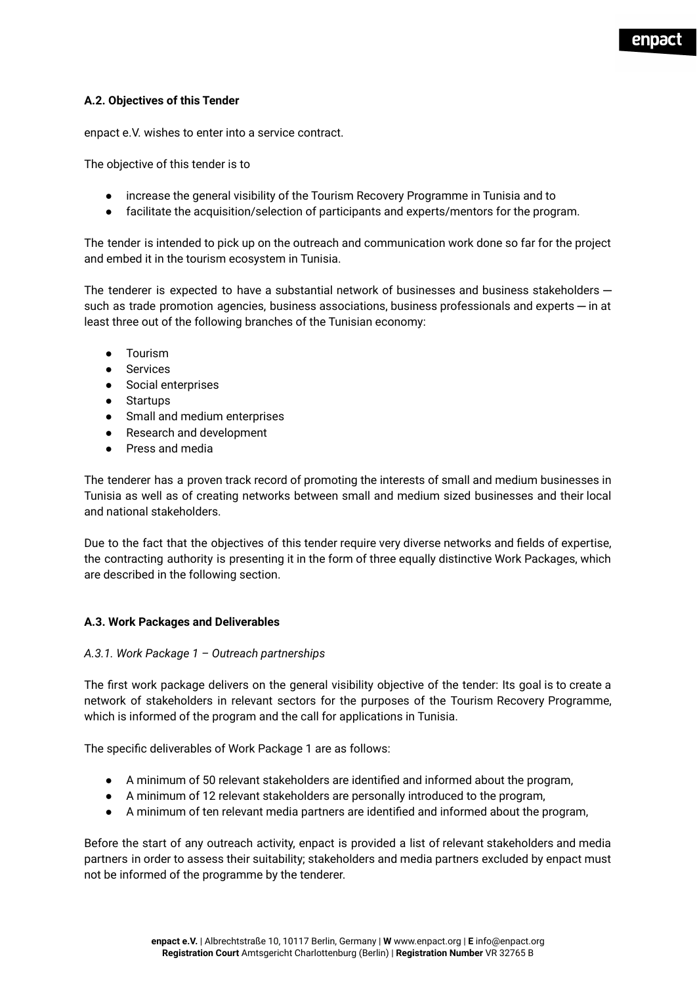## **A.2. Objectives of this Tender**

enpact e.V. wishes to enter into a service contract.

The objective of this tender is to

- increase the general visibility of the Tourism Recovery Programme in Tunisia and to
- facilitate the acquisition/selection of participants and experts/mentors for the program.

The tender is intended to pick up on the outreach and communication work done so far for the project and embed it in the tourism ecosystem in Tunisia.

The tenderer is expected to have a substantial network of businesses and business stakeholders such as trade promotion agencies, business associations, business professionals and experts — in at least three out of the following branches of the Tunisian economy:

- Tourism
- Services
- Social enterprises
- Startups
- Small and medium enterprises
- Research and development
- Press and media

The tenderer has a proven track record of promoting the interests of small and medium businesses in Tunisia as well as of creating networks between small and medium sized businesses and their local and national stakeholders.

Due to the fact that the objectives of this tender require very diverse networks and fields of expertise, the contracting authority is presenting it in the form of three equally distinctive Work Packages, which are described in the following section.

## **A.3. Work Packages and Deliverables**

## *A.3.1. Work Package 1 – Outreach partnerships*

The first work package delivers on the general visibility objective of the tender: Its goal is to create a network of stakeholders in relevant sectors for the purposes of the Tourism Recovery Programme, which is informed of the program and the call for applications in Tunisia.

The specific deliverables of Work Package 1 are as follows:

- A minimum of 50 relevant stakeholders are identified and informed about the program,
- A minimum of 12 relevant stakeholders are personally introduced to the program,
- A minimum of ten relevant media partners are identified and informed about the program,

Before the start of any outreach activity, enpact is provided a list of relevant stakeholders and media partners in order to assess their suitability; stakeholders and media partners excluded by enpact must not be informed of the programme by the tenderer.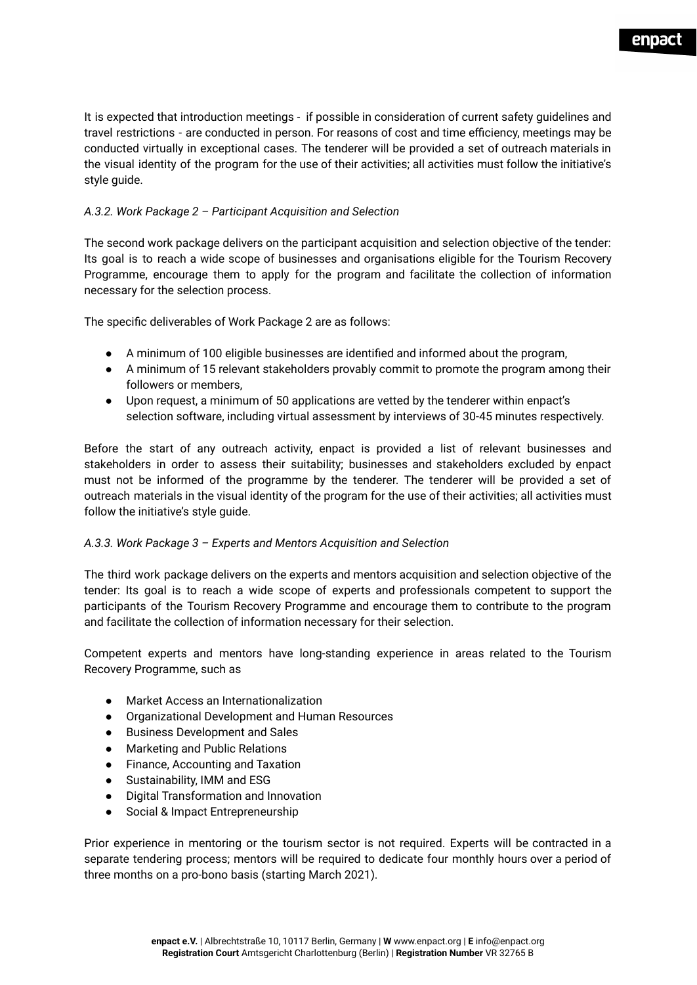It is expected that introduction meetings - if possible in consideration of current safety guidelines and travel restrictions - are conducted in person. For reasons of cost and time efficiency, meetings may be conducted virtually in exceptional cases. The tenderer will be provided a set of outreach materials in the visual identity of the program for the use of their activities; all activities must follow the initiative's style guide.

## *A.3.2. Work Package 2 – Participant Acquisition and Selection*

The second work package delivers on the participant acquisition and selection objective of the tender: Its goal is to reach a wide scope of businesses and organisations eligible for the Tourism Recovery Programme, encourage them to apply for the program and facilitate the collection of information necessary for the selection process.

The specific deliverables of Work Package 2 are as follows:

- A minimum of 100 eligible businesses are identified and informed about the program,
- A minimum of 15 relevant stakeholders provably commit to promote the program among their followers or members,
- Upon request, a minimum of 50 applications are vetted by the tenderer within enpact's selection software, including virtual assessment by interviews of 30-45 minutes respectively.

Before the start of any outreach activity, enpact is provided a list of relevant businesses and stakeholders in order to assess their suitability; businesses and stakeholders excluded by enpact must not be informed of the programme by the tenderer. The tenderer will be provided a set of outreach materials in the visual identity of the program for the use of their activities; all activities must follow the initiative's style guide.

## *A.3.3. Work Package 3 – Experts and Mentors Acquisition and Selection*

The third work package delivers on the experts and mentors acquisition and selection objective of the tender: Its goal is to reach a wide scope of experts and professionals competent to support the participants of the Tourism Recovery Programme and encourage them to contribute to the program and facilitate the collection of information necessary for their selection.

Competent experts and mentors have long-standing experience in areas related to the Tourism Recovery Programme, such as

- Market Access an Internationalization
- Organizational Development and Human Resources
- Business Development and Sales
- Marketing and Public Relations
- Finance, Accounting and Taxation
- Sustainability, IMM and ESG
- Digital Transformation and Innovation
- Social & Impact Entrepreneurship

Prior experience in mentoring or the tourism sector is not required. Experts will be contracted in a separate tendering process; mentors will be required to dedicate four monthly hours over a period of three months on a pro-bono basis (starting March 2021).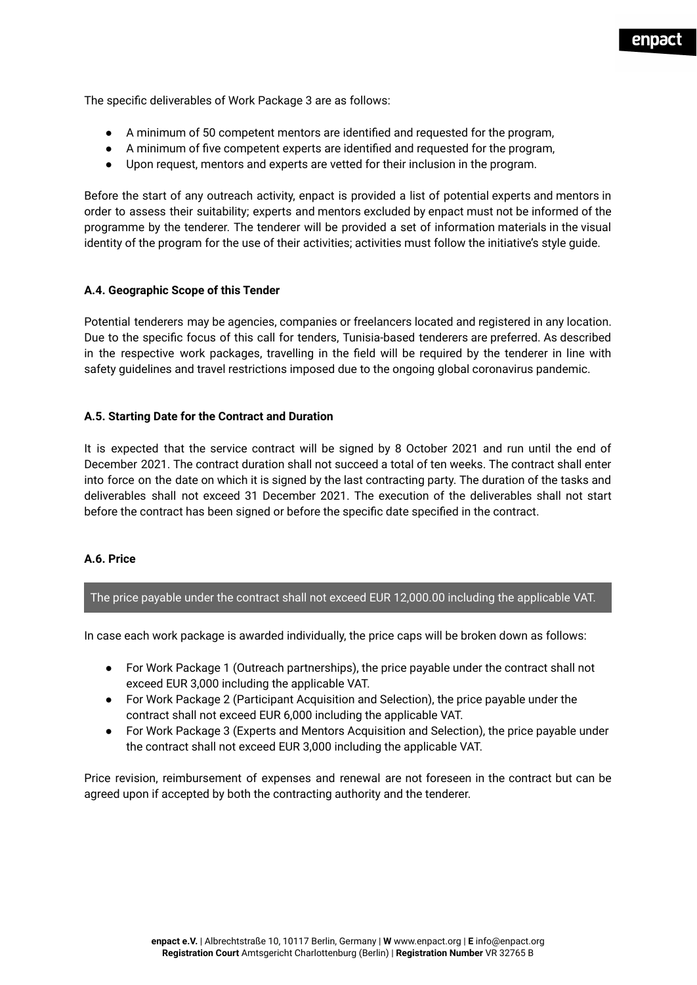The specific deliverables of Work Package 3 are as follows:

- A minimum of 50 competent mentors are identified and requested for the program,
- A minimum of five competent experts are identified and requested for the program,
- Upon request, mentors and experts are vetted for their inclusion in the program.

Before the start of any outreach activity, enpact is provided a list of potential experts and mentors in order to assess their suitability; experts and mentors excluded by enpact must not be informed of the programme by the tenderer. The tenderer will be provided a set of information materials in the visual identity of the program for the use of their activities; activities must follow the initiative's style guide.

#### **A.4. Geographic Scope of this Tender**

Potential tenderers may be agencies, companies or freelancers located and registered in any location. Due to the specific focus of this call for tenders, Tunisia-based tenderers are preferred. As described in the respective work packages, travelling in the field will be required by the tenderer in line with safety guidelines and travel restrictions imposed due to the ongoing global coronavirus pandemic.

#### **A.5. Starting Date for the Contract and Duration**

It is expected that the service contract will be signed by 8 October 2021 and run until the end of December 2021. The contract duration shall not succeed a total of ten weeks. The contract shall enter into force on the date on which it is signed by the last contracting party. The duration of the tasks and deliverables shall not exceed 31 December 2021. The execution of the deliverables shall not start before the contract has been signed or before the specific date specified in the contract.

#### **A.6. Price**

## The price payable under the contract shall not exceed EUR 12,000.00 including the applicable VAT.

In case each work package is awarded individually, the price caps will be broken down as follows:

- For Work Package 1 (Outreach partnerships), the price payable under the contract shall not exceed EUR 3,000 including the applicable VAT.
- For Work Package 2 (Participant Acquisition and Selection), the price payable under the contract shall not exceed EUR 6,000 including the applicable VAT.
- For Work Package 3 (Experts and Mentors Acquisition and Selection), the price payable under the contract shall not exceed EUR 3,000 including the applicable VAT.

Price revision, reimbursement of expenses and renewal are not foreseen in the contract but can be agreed upon if accepted by both the contracting authority and the tenderer.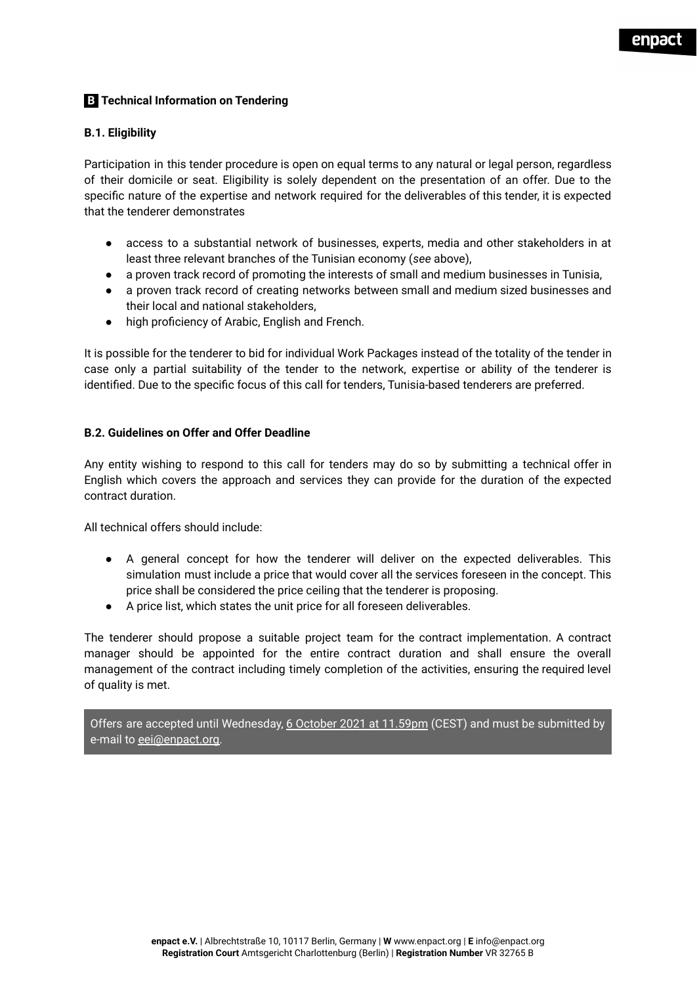## **.B. Technical Information on Tendering**

## **B.1. Eligibility**

Participation in this tender procedure is open on equal terms to any natural or legal person, regardless of their domicile or seat. Eligibility is solely dependent on the presentation of an offer. Due to the specific nature of the expertise and network required for the deliverables of this tender, it is expected that the tenderer demonstrates

- access to a substantial network of businesses, experts, media and other stakeholders in at least three relevant branches of the Tunisian economy (*see* above),
- a proven track record of promoting the interests of small and medium businesses in Tunisia,
- a proven track record of creating networks between small and medium sized businesses and their local and national stakeholders,
- high proficiency of Arabic, English and French.

It is possible for the tenderer to bid for individual Work Packages instead of the totality of the tender in case only a partial suitability of the tender to the network, expertise or ability of the tenderer is identified. Due to the specific focus of this call for tenders, Tunisia-based tenderers are preferred.

## **B.2. Guidelines on Offer and Offer Deadline**

Any entity wishing to respond to this call for tenders may do so by submitting a technical offer in English which covers the approach and services they can provide for the duration of the expected contract duration.

All technical offers should include:

- A general concept for how the tenderer will deliver on the expected deliverables. This simulation must include a price that would cover all the services foreseen in the concept. This price shall be considered the price ceiling that the tenderer is proposing.
- A price list, which states the unit price for all foreseen deliverables.

The tenderer should propose a suitable project team for the contract implementation. A contract manager should be appointed for the entire contract duration and shall ensure the overall management of the contract including timely completion of the activities, ensuring the required level of quality is met.

Offers are accepted until Wednesday, 6 October 2021 at 11.59pm (CEST) and must be submitted by e-mail to eei@enpact.org.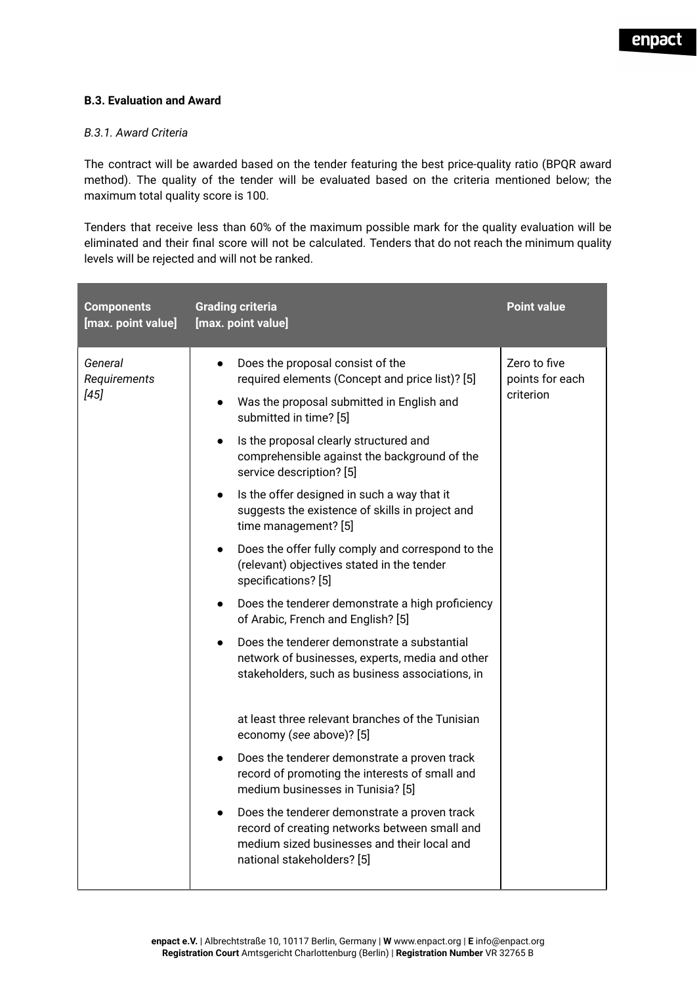## **B.3. Evaluation and Award**

#### *B.3.1. Award Criteria*

The contract will be awarded based on the tender featuring the best price-quality ratio (BPQR award method). The quality of the tender will be evaluated based on the criteria mentioned below; the maximum total quality score is 100.

Tenders that receive less than 60% of the maximum possible mark for the quality evaluation will be eliminated and their final score will not be calculated. Tenders that do not reach the minimum quality levels will be rejected and will not be ranked.

| <b>Components</b><br>[max. point value] | <b>Grading criteria</b><br>[max. point value]                                                                                                                                                                                                                                                                                                                                                                                                                                                                                                                                                                                                                                                                                                                                                                                                                                                                                                                                                                                                                                                                                                                                                                                                | <b>Point value</b>                           |
|-----------------------------------------|----------------------------------------------------------------------------------------------------------------------------------------------------------------------------------------------------------------------------------------------------------------------------------------------------------------------------------------------------------------------------------------------------------------------------------------------------------------------------------------------------------------------------------------------------------------------------------------------------------------------------------------------------------------------------------------------------------------------------------------------------------------------------------------------------------------------------------------------------------------------------------------------------------------------------------------------------------------------------------------------------------------------------------------------------------------------------------------------------------------------------------------------------------------------------------------------------------------------------------------------|----------------------------------------------|
| General<br>Requirements<br>$[45]$       | Does the proposal consist of the<br>$\bullet$<br>required elements (Concept and price list)? [5]<br>Was the proposal submitted in English and<br>submitted in time? [5]<br>Is the proposal clearly structured and<br>comprehensible against the background of the<br>service description? [5]<br>Is the offer designed in such a way that it<br>suggests the existence of skills in project and<br>time management? [5]<br>Does the offer fully comply and correspond to the<br>$\bullet$<br>(relevant) objectives stated in the tender<br>specifications? [5]<br>Does the tenderer demonstrate a high proficiency<br>of Arabic, French and English? [5]<br>Does the tenderer demonstrate a substantial<br>network of businesses, experts, media and other<br>stakeholders, such as business associations, in<br>at least three relevant branches of the Tunisian<br>economy (see above)? [5]<br>Does the tenderer demonstrate a proven track<br>$\bullet$<br>record of promoting the interests of small and<br>medium businesses in Tunisia? [5]<br>Does the tenderer demonstrate a proven track<br>$\bullet$<br>record of creating networks between small and<br>medium sized businesses and their local and<br>national stakeholders? [5] | Zero to five<br>points for each<br>criterion |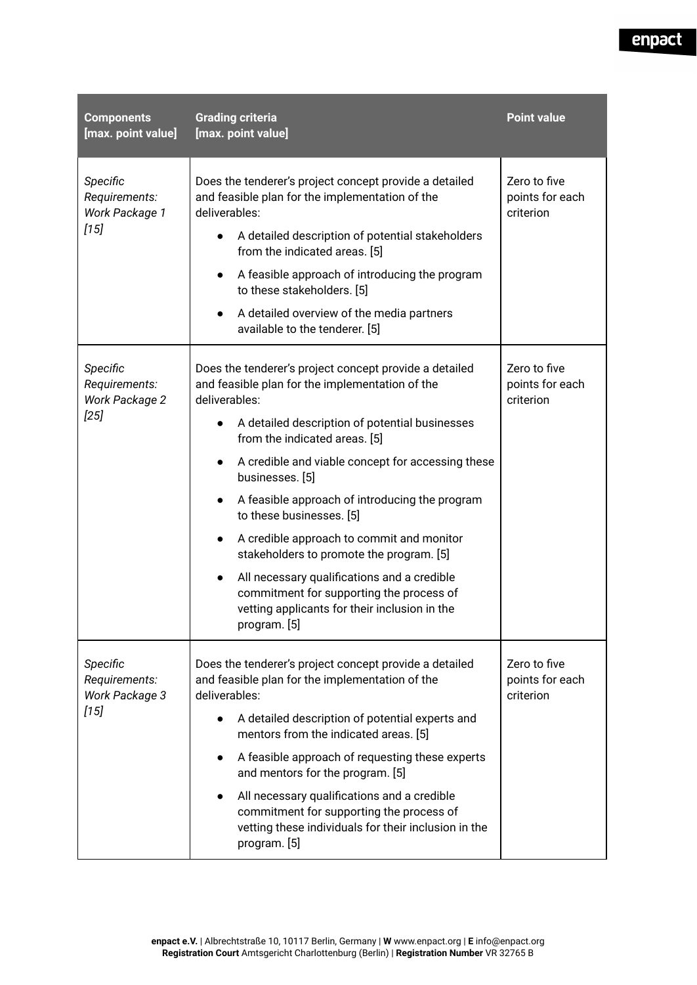# enpact

| <b>Components</b><br>[max. point value]               | <b>Grading criteria</b><br>[max. point value]                                                                                                                                                                                                                                                                                                                                                                                                                                                                                                                                                                                                                   | <b>Point value</b>                           |
|-------------------------------------------------------|-----------------------------------------------------------------------------------------------------------------------------------------------------------------------------------------------------------------------------------------------------------------------------------------------------------------------------------------------------------------------------------------------------------------------------------------------------------------------------------------------------------------------------------------------------------------------------------------------------------------------------------------------------------------|----------------------------------------------|
| Specific<br>Requirements:<br>Work Package 1<br>$[15]$ | Does the tenderer's project concept provide a detailed<br>and feasible plan for the implementation of the<br>deliverables:<br>A detailed description of potential stakeholders<br>from the indicated areas. [5]<br>A feasible approach of introducing the program<br>$\bullet$<br>to these stakeholders. [5]<br>A detailed overview of the media partners<br>$\bullet$<br>available to the tenderer. [5]                                                                                                                                                                                                                                                        | Zero to five<br>points for each<br>criterion |
| Specific<br>Requirements:<br>Work Package 2<br>$[25]$ | Does the tenderer's project concept provide a detailed<br>and feasible plan for the implementation of the<br>deliverables:<br>A detailed description of potential businesses<br>from the indicated areas. [5]<br>A credible and viable concept for accessing these<br>$\bullet$<br>businesses. [5]<br>A feasible approach of introducing the program<br>to these businesses. [5]<br>A credible approach to commit and monitor<br>$\bullet$<br>stakeholders to promote the program. [5]<br>All necessary qualifications and a credible<br>$\bullet$<br>commitment for supporting the process of<br>vetting applicants for their inclusion in the<br>program. [5] | Zero to five<br>points for each<br>criterion |
| Specific<br>Requirements:<br>Work Package 3<br>$[15]$ | Does the tenderer's project concept provide a detailed<br>and feasible plan for the implementation of the<br>deliverables:<br>A detailed description of potential experts and<br>mentors from the indicated areas. [5]<br>A feasible approach of requesting these experts<br>$\bullet$<br>and mentors for the program. [5]<br>All necessary qualifications and a credible<br>commitment for supporting the process of<br>vetting these individuals for their inclusion in the<br>program. [5]                                                                                                                                                                   | Zero to five<br>points for each<br>criterion |